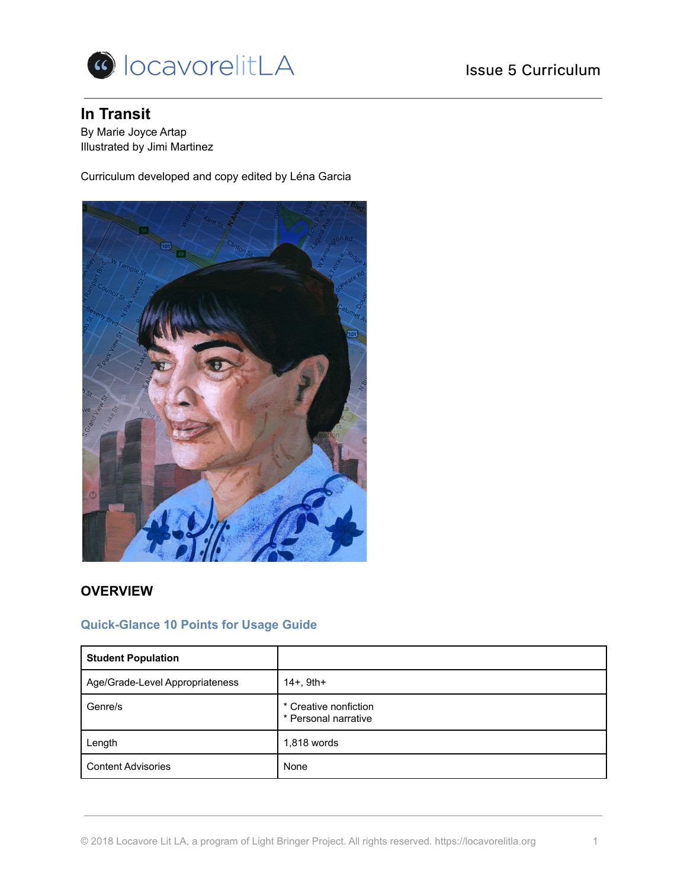

# **In Transit**

By Marie Joyce Artap Illustrated by Jimi Martinez

Curriculum developed and copy edited by Léna Garcia



# **OVERVIEW**

# **Quick-Glance 10 Points for Usage Guide**

| <b>Student Population</b>       |                                               |
|---------------------------------|-----------------------------------------------|
| Age/Grade-Level Appropriateness | $14+$ , 9th+                                  |
| Genre/s                         | * Creative nonfiction<br>* Personal narrative |
| Length                          | 1,818 words                                   |
| <b>Content Advisories</b>       | None                                          |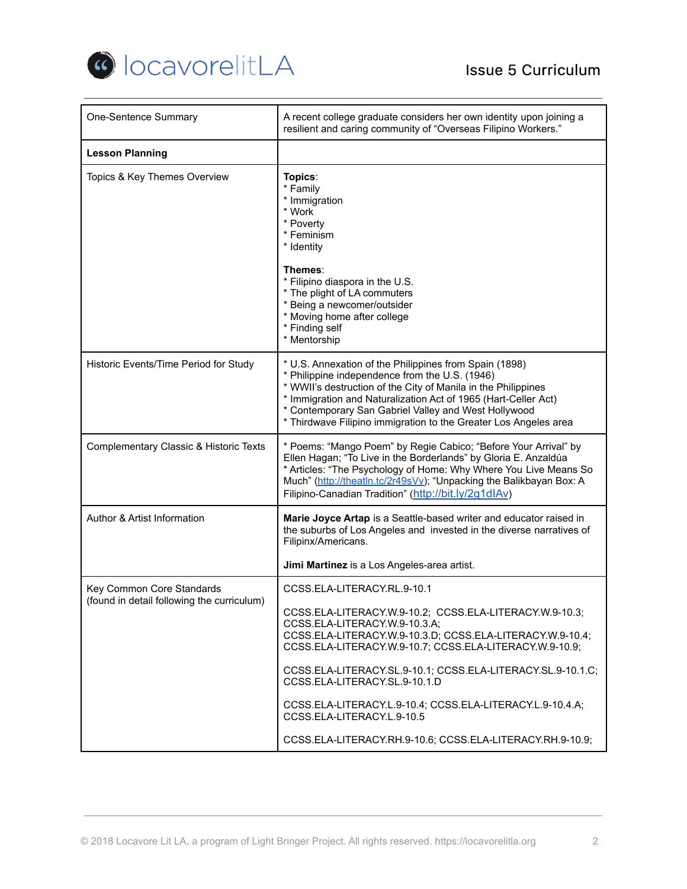

| One-Sentence Summary                       | A recent college graduate considers her own identity upon joining a<br>resilient and caring community of "Overseas Filipino Workers."                                                                                                                                                                                                                                   |
|--------------------------------------------|-------------------------------------------------------------------------------------------------------------------------------------------------------------------------------------------------------------------------------------------------------------------------------------------------------------------------------------------------------------------------|
| <b>Lesson Planning</b>                     |                                                                                                                                                                                                                                                                                                                                                                         |
| Topics & Key Themes Overview               | Topics:<br>* Family<br>* Immigration<br>* Work<br>* Poverty<br>* Feminism<br>* Identity<br>Themes:<br>* Filipino diaspora in the U.S.<br>* The plight of LA commuters<br>* Being a newcomer/outsider<br>* Moving home after college<br>* Finding self<br>* Mentorship                                                                                                   |
| Historic Events/Time Period for Study      | * U.S. Annexation of the Philippines from Spain (1898)<br>* Philippine independence from the U.S. (1946)<br>* WWII's destruction of the City of Manila in the Philippines<br>* Immigration and Naturalization Act of 1965 (Hart-Celler Act)<br>* Contemporary San Gabriel Valley and West Hollywood<br>* Thirdwave Filipino immigration to the Greater Los Angeles area |
| Complementary Classic & Historic Texts     | * Poems: "Mango Poem" by Regie Cabico; "Before Your Arrival" by<br>Ellen Hagan; "To Live in the Borderlands" by Gloria E. Anzaldúa<br>* Articles: "The Psychology of Home: Why Where You Live Means So<br>Much" (http://theatln.tc/2r49sVv); "Unpacking the Balikbayan Box: A<br>Filipino-Canadian Tradition" (http://bit.ly/2g1dlAv)                                   |
| Author & Artist Information                | Marie Joyce Artap is a Seattle-based writer and educator raised in<br>the suburbs of Los Angeles and invested in the diverse narratives of<br>Filipinx/Americans.<br>Jimi Martinez is a Los Angeles-area artist.                                                                                                                                                        |
| Key Common Core Standards                  | CCSS.ELA-LITERACY.RL.9-10.1                                                                                                                                                                                                                                                                                                                                             |
| (found in detail following the curriculum) | CCSS.ELA-LITERACY.W.9-10.2; CCSS.ELA-LITERACY.W.9-10.3;<br>CCSS.ELA-LITERACY.W.9-10.3.A;<br>CCSS.ELA-LITERACY.W.9-10.3.D; CCSS.ELA-LITERACY.W.9-10.4;<br>CCSS.ELA-LITERACY.W.9-10.7; CCSS.ELA-LITERACY.W.9-10.9;                                                                                                                                                        |
|                                            | CCSS.ELA-LITERACY.SL.9-10.1; CCSS.ELA-LITERACY.SL.9-10.1.C;<br>CCSS.ELA-LITERACY.SL.9-10.1.D                                                                                                                                                                                                                                                                            |
|                                            | CCSS.ELA-LITERACY.L.9-10.4; CCSS.ELA-LITERACY.L.9-10.4.A;<br>CCSS.ELA-LITERACY.L.9-10.5                                                                                                                                                                                                                                                                                 |
|                                            | CCSS.ELA-LITERACY.RH.9-10.6; CCSS.ELA-LITERACY.RH.9-10.9;                                                                                                                                                                                                                                                                                                               |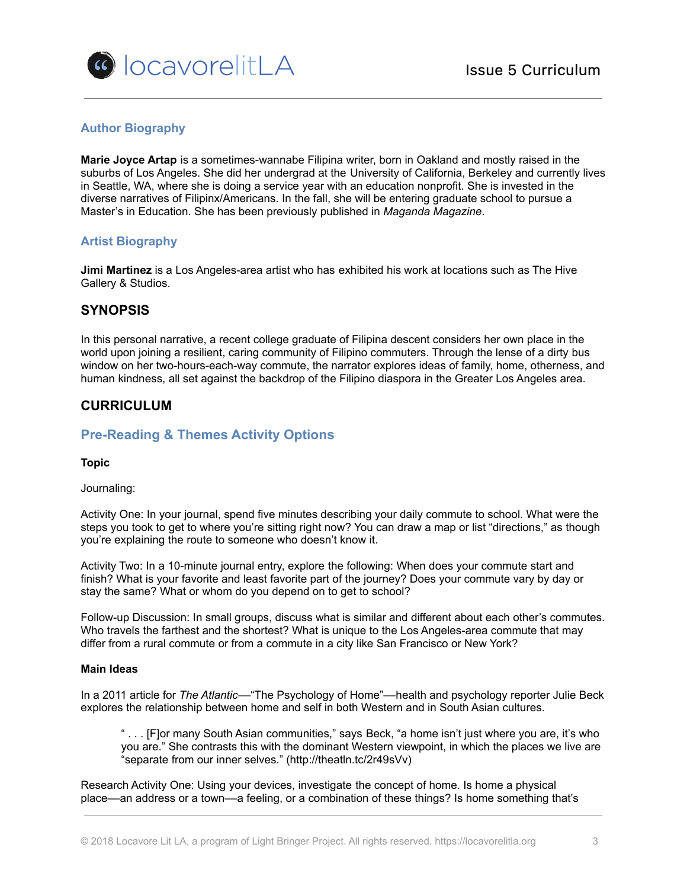

# **Author Biography**

**Marie Joyce Artap** is a sometimes-wannabe Filipina writer, born in Oakland and mostly raised in the suburbs of Los Angeles. She did her undergrad at the University of California, Berkeley and currently lives in Seattle, WA, where she is doing a service year with an education nonprofit. She is invested in the diverse narratives of Filipinx/Americans. In the fall, she will be entering graduate school to pursue a Master's in Education. She has been previously published in *Maganda Magazine*.

# **Artist Biography**

**Jimi Martinez** is a Los Angeles-area artist who has exhibited his work at locations such as The Hive Gallery & Studios.

# **SYNOPSIS**

In this personal narrative, a recent college graduate of Filipina descent considers her own place in the world upon joining a resilient, caring community of Filipino commuters. Through the lense of a dirty bus window on her two-hours-each-way commute, the narrator explores ideas of family, home, otherness, and human kindness, all set against the backdrop of the Filipino diaspora in the Greater Los Angeles area.

# **CURRICULUM**

# **Pre-Reading & Themes Activity Options**

### **Topic**

Journaling:

Activity One: In your journal, spend five minutes describing your daily commute to school. What were the steps you took to get to where you're sitting right now? You can draw a map or list "directions," as though you're explaining the route to someone who doesn't know it.

Activity Two: In a 10-minute journal entry, explore the following: When does your commute start and finish? What is your favorite and least favorite part of the journey? Does your commute vary by day or stay the same? What or whom do you depend on to get to school?

Follow-up Discussion: In small groups, discuss what is similar and different about each other's commutes. Who travels the farthest and the shortest? What is unique to the Los Angeles-area commute that may differ from a rural commute or from a commute in a city like San Francisco or New York?

### **Main Ideas**

In a 2011 article for *The Atlantic*—"The Psychology of Home"—health and psychology reporter Julie Beck explores the relationship between home and self in both Western and in South Asian cultures.

" . . . [F]or many South Asian communities," says Beck, "a home isn't just where you are, it's who you are." She contrasts this with the dominant Western viewpoint, in which the places we live are "separate from our inner selves." (http://theatln.tc/2r49sVv)

Research Activity One: Using your devices, investigate the concept of home. Is home a physical place––an address or a town––a feeling, or a combination of these things? Is home something that's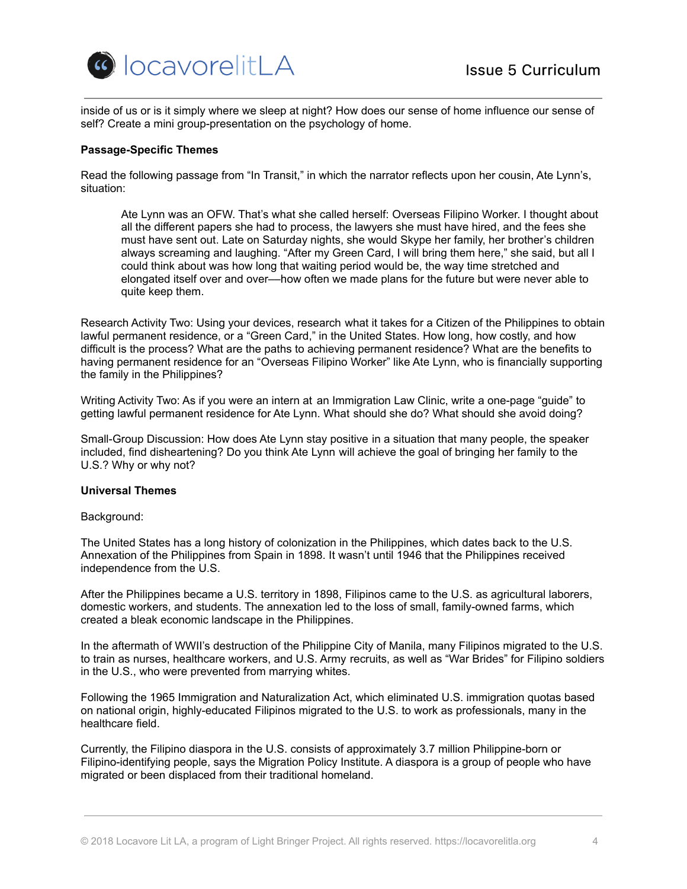

inside of us or is it simply where we sleep at night? How does our sense of home influence our sense of self? Create a mini group-presentation on the psychology of home.

#### **Passage-Specific Themes**

Read the following passage from "In Transit," in which the narrator reflects upon her cousin, Ate Lynn's, situation:

Ate Lynn was an OFW. That's what she called herself: Overseas Filipino Worker. I thought about all the different papers she had to process, the lawyers she must have hired, and the fees she must have sent out. Late on Saturday nights, she would Skype her family, her brother's children always screaming and laughing. "After my Green Card, I will bring them here," she said, but all I could think about was how long that waiting period would be, the way time stretched and elongated itself over and over––how often we made plans for the future but were never able to quite keep them.

Research Activity Two: Using your devices, research what it takes for a Citizen of the Philippines to obtain lawful permanent residence, or a "Green Card," in the United States. How long, how costly, and how difficult is the process? What are the paths to achieving permanent residence? What are the benefits to having permanent residence for an "Overseas Filipino Worker" like Ate Lynn, who is financially supporting the family in the Philippines?

Writing Activity Two: As if you were an intern at an Immigration Law Clinic, write a one-page "guide" to getting lawful permanent residence for Ate Lynn. What should she do? What should she avoid doing?

Small-Group Discussion: How does Ate Lynn stay positive in a situation that many people, the speaker included, find disheartening? Do you think Ate Lynn will achieve the goal of bringing her family to the U.S.? Why or why not?

#### **Universal Themes**

Background:

The United States has a long history of colonization in the Philippines, which dates back to the U.S. Annexation of the Philippines from Spain in 1898. It wasn't until 1946 that the Philippines received independence from the U.S.

After the Philippines became a U.S. territory in 1898, Filipinos came to the U.S. as agricultural laborers, domestic workers, and students. The annexation led to the loss of small, family-owned farms, which created a bleak economic landscape in the Philippines.

In the aftermath of WWII's destruction of the Philippine City of Manila, many Filipinos migrated to the U.S. to train as nurses, healthcare workers, and U.S. Army recruits, as well as "War Brides" for Filipino soldiers in the U.S., who were prevented from marrying whites.

Following the 1965 Immigration and Naturalization Act, which eliminated U.S. immigration quotas based on national origin, highly-educated Filipinos migrated to the U.S. to work as professionals, many in the healthcare field.

Currently, the Filipino diaspora in the U.S. consists of approximately 3.7 million Philippine-born or Filipino-identifying people, says the Migration Policy Institute. A diaspora is a group of people who have migrated or been displaced from their traditional homeland.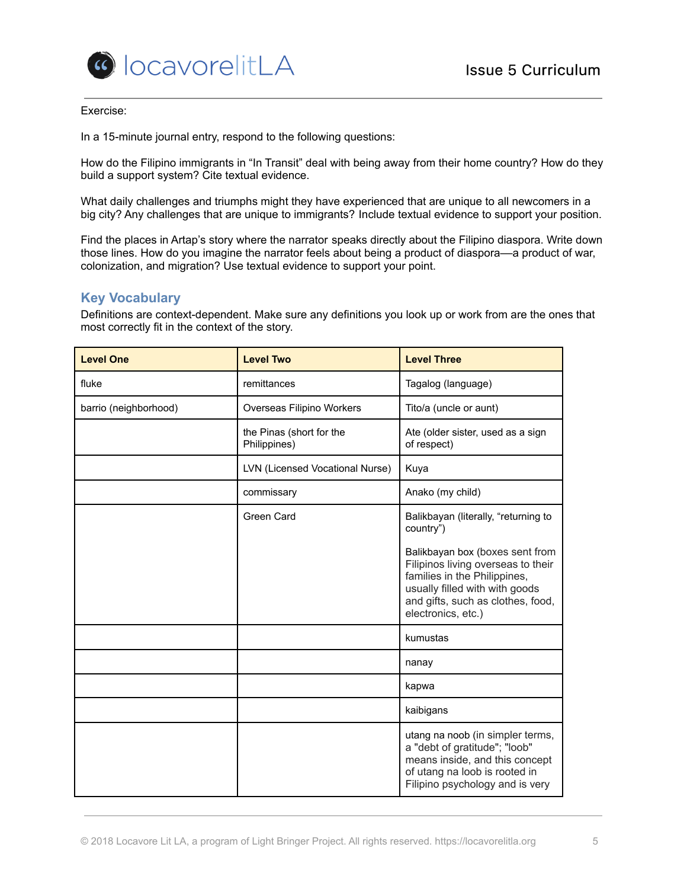

### Exercise:

In a 15-minute journal entry, respond to the following questions:

How do the Filipino immigrants in "In Transit" deal with being away from their home country? How do they build a support system? Cite textual evidence.

What daily challenges and triumphs might they have experienced that are unique to all newcomers in a big city? Any challenges that are unique to immigrants? Include textual evidence to support your position.

Find the places in Artap's story where the narrator speaks directly about the Filipino diaspora. Write down those lines. How do you imagine the narrator feels about being a product of diaspora––a product of war, colonization, and migration? Use textual evidence to support your point.

## **Key Vocabulary**

Definitions are context-dependent. Make sure any definitions you look up or work from are the ones that most correctly fit in the context of the story.

| <b>Level One</b>      | <b>Level Two</b>                         | <b>Level Three</b>                                                                                                                                                      |
|-----------------------|------------------------------------------|-------------------------------------------------------------------------------------------------------------------------------------------------------------------------|
| fluke                 | remittances                              | Tagalog (language)                                                                                                                                                      |
| barrio (neighborhood) | Overseas Filipino Workers                | Tito/a (uncle or aunt)                                                                                                                                                  |
|                       | the Pinas (short for the<br>Philippines) | Ate (older sister, used as a sign<br>of respect)                                                                                                                        |
|                       | LVN (Licensed Vocational Nurse)          | Kuya                                                                                                                                                                    |
|                       | commissary                               | Anako (my child)                                                                                                                                                        |
|                       | Green Card                               | Balikbayan (literally, "returning to<br>country")<br>Balikbayan box (boxes sent from                                                                                    |
|                       |                                          | Filipinos living overseas to their<br>families in the Philippines,<br>usually filled with with goods<br>and gifts, such as clothes, food,<br>electronics, etc.)         |
|                       |                                          | kumustas                                                                                                                                                                |
|                       |                                          | nanay                                                                                                                                                                   |
|                       |                                          | kapwa                                                                                                                                                                   |
|                       |                                          | kaibigans                                                                                                                                                               |
|                       |                                          | utang na noob (in simpler terms,<br>a "debt of gratitude"; "loob"<br>means inside, and this concept<br>of utang na loob is rooted in<br>Filipino psychology and is very |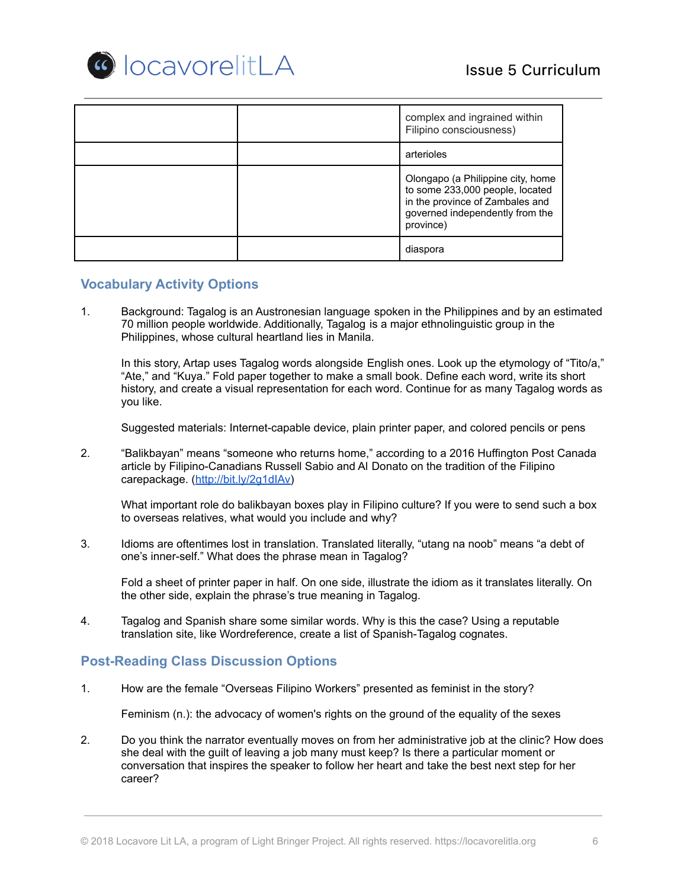

|  | complex and ingrained within<br>Filipino consciousness)                                                                                                 |
|--|---------------------------------------------------------------------------------------------------------------------------------------------------------|
|  | arterioles                                                                                                                                              |
|  | Olongapo (a Philippine city, home<br>to some 233,000 people, located<br>in the province of Zambales and<br>governed independently from the<br>province) |
|  | diaspora                                                                                                                                                |

# **Vocabulary Activity Options**

1. Background: Tagalog is an Austronesian language spoken in the Philippines and by an estimated 70 million people worldwide. Additionally, Tagalog is a major ethnolinguistic group in the Philippines, whose cultural heartland lies in Manila.

In this story, Artap uses Tagalog words alongside English ones. Look up the etymology of "Tito/a," "Ate," and "Kuya." Fold paper together to make a small book. Define each word, write its short history, and create a visual representation for each word. Continue for as many Tagalog words as you like.

Suggested materials: Internet-capable device, plain printer paper, and colored pencils or pens

2. "Balikbayan" means "someone who returns home," according to a 2016 Huffington Post Canada article by Filipino-Canadians Russell Sabio and Al Donato on the tradition of the Filipino carepackage. [\(http://bit.ly/2g1dIAv\)](http://bit.ly/2g1dIAv)

What important role do balikbayan boxes play in Filipino culture? If you were to send such a box to overseas relatives, what would you include and why?

3. Idioms are oftentimes lost in translation. Translated literally, "utang na noob" means "a debt of one's inner-self." What does the phrase mean in Tagalog?

Fold a sheet of printer paper in half. On one side, illustrate the idiom as it translates literally. On the other side, explain the phrase's true meaning in Tagalog.

4. Tagalog and Spanish share some similar words. Why is this the case? Using a reputable translation site, like Wordreference, create a list of Spanish-Tagalog cognates.

# **Post-Reading Class Discussion Options**

1. How are the female "Overseas Filipino Workers" presented as feminist in the story?

Feminism (n.): the advocacy of women's rights on the ground of the equality of the sexes

2. Do you think the narrator eventually moves on from her administrative job at the clinic? How does she deal with the guilt of leaving a job many must keep? Is there a particular moment or conversation that inspires the speaker to follow her heart and take the best next step for her career?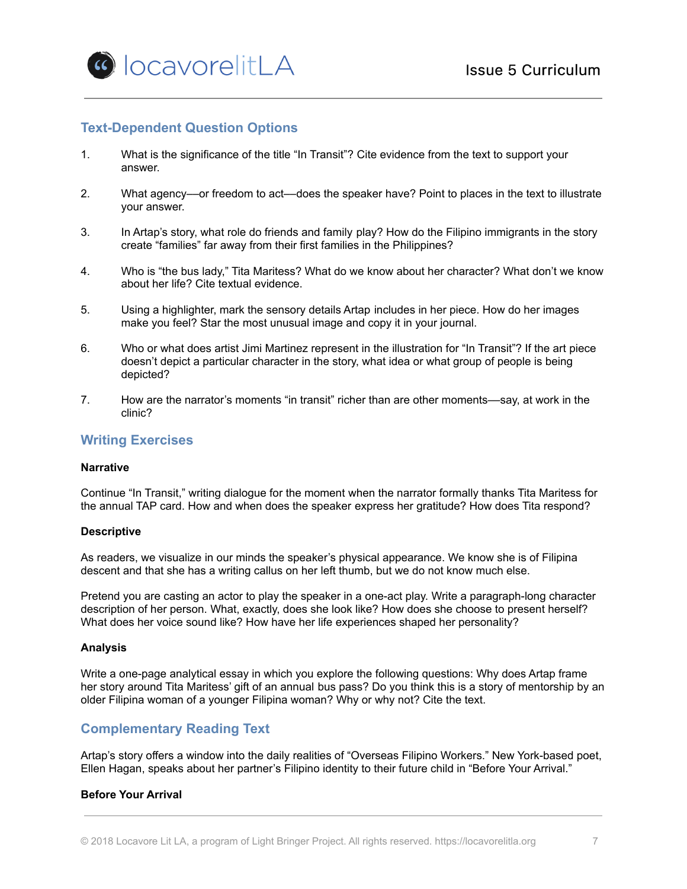

# **Text-Dependent Question Options**

- 1. What is the significance of the title "In Transit"? Cite evidence from the text to support your answer.
- 2. What agency––or freedom to act––does the speaker have? Point to places in the text to illustrate your answer.
- 3. In Artap's story, what role do friends and family play? How do the Filipino immigrants in the story create "families" far away from their first families in the Philippines?
- 4. Who is "the bus lady," Tita Maritess? What do we know about her character? What don't we know about her life? Cite textual evidence.
- 5. Using a highlighter, mark the sensory details Artap includes in her piece. How do her images make you feel? Star the most unusual image and copy it in your journal.
- 6. Who or what does artist Jimi Martinez represent in the illustration for "In Transit"? If the art piece doesn't depict a particular character in the story, what idea or what group of people is being depicted?
- 7. How are the narrator's moments "in transit" richer than are other moments––say, at work in the clinic?

## **Writing Exercises**

### **Narrative**

Continue "In Transit," writing dialogue for the moment when the narrator formally thanks Tita Maritess for the annual TAP card. How and when does the speaker express her gratitude? How does Tita respond?

### **Descriptive**

As readers, we visualize in our minds the speaker's physical appearance. We know she is of Filipina descent and that she has a writing callus on her left thumb, but we do not know much else.

Pretend you are casting an actor to play the speaker in a one-act play. Write a paragraph-long character description of her person. What, exactly, does she look like? How does she choose to present herself? What does her voice sound like? How have her life experiences shaped her personality?

### **Analysis**

Write a one-page analytical essay in which you explore the following questions: Why does Artap frame her story around Tita Maritess' gift of an annual bus pass? Do you think this is a story of mentorship by an older Filipina woman of a younger Filipina woman? Why or why not? Cite the text.

# **Complementary Reading Text**

Artap's story offers a window into the daily realities of "Overseas Filipino Workers." New York-based poet, Ellen Hagan, speaks about her partner's Filipino identity to their future child in "Before Your Arrival."

### **Before Your Arrival**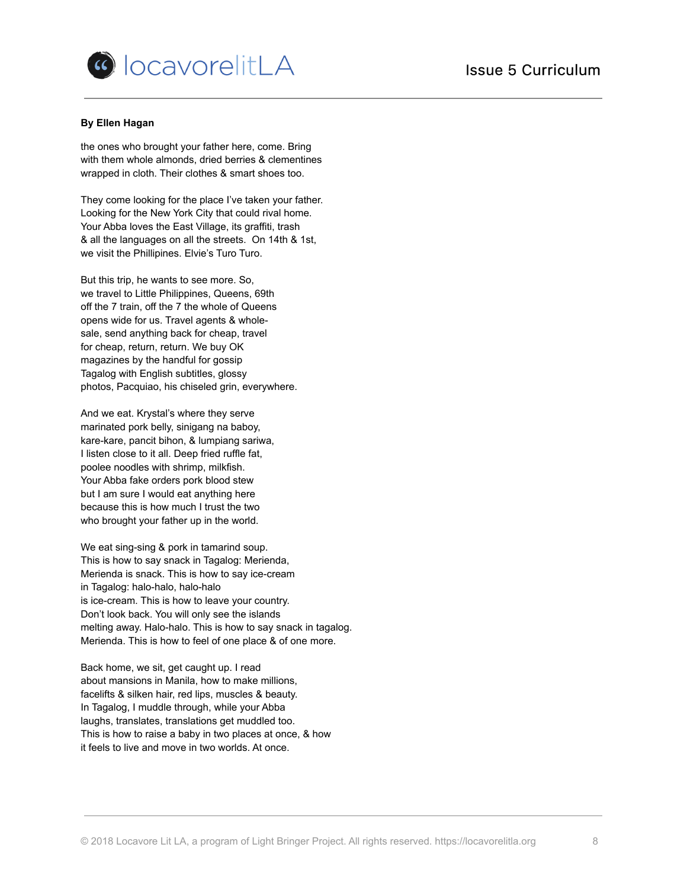

#### **By Ellen Hagan**

the ones who brought your father here, come. Bring with them whole almonds, dried berries & clementines wrapped in cloth. Their clothes & smart shoes too.

They come looking for the place I've taken your father. Looking for the New York City that could rival home. Your Abba loves the East Village, its graffiti, trash & all the languages on all the streets. On 14th & 1st, we visit the Phillipines. Elvie's Turo Turo.

But this trip, he wants to see more. So, we travel to Little Philippines, Queens, 69th off the 7 train, off the 7 the whole of Queens opens wide for us. Travel agents & wholesale, send anything back for cheap, travel for cheap, return, return. We buy OK magazines by the handful for gossip Tagalog with English subtitles, glossy photos, Pacquiao, his chiseled grin, everywhere.

And we eat. Krystal's where they serve marinated pork belly, sinigang na baboy, kare-kare, pancit bihon, & lumpiang sariwa, I listen close to it all. Deep fried ruffle fat, poolee noodles with shrimp, milkfish. Your Abba fake orders pork blood stew but I am sure I would eat anything here because this is how much I trust the two who brought your father up in the world.

We eat sing-sing & pork in tamarind soup. This is how to say snack in Tagalog: Merienda, Merienda is snack. This is how to say ice-cream in Tagalog: halo-halo, halo-halo is ice-cream. This is how to leave your country. Don't look back. You will only see the islands melting away. Halo-halo. This is how to say snack in tagalog. Merienda. This is how to feel of one place & of one more.

Back home, we sit, get caught up. I read about mansions in Manila, how to make millions, facelifts & silken hair, red lips, muscles & beauty. In Tagalog, I muddle through, while your Abba laughs, translates, translations get muddled too. This is how to raise a baby in two places at once, & how it feels to live and move in two worlds. At once.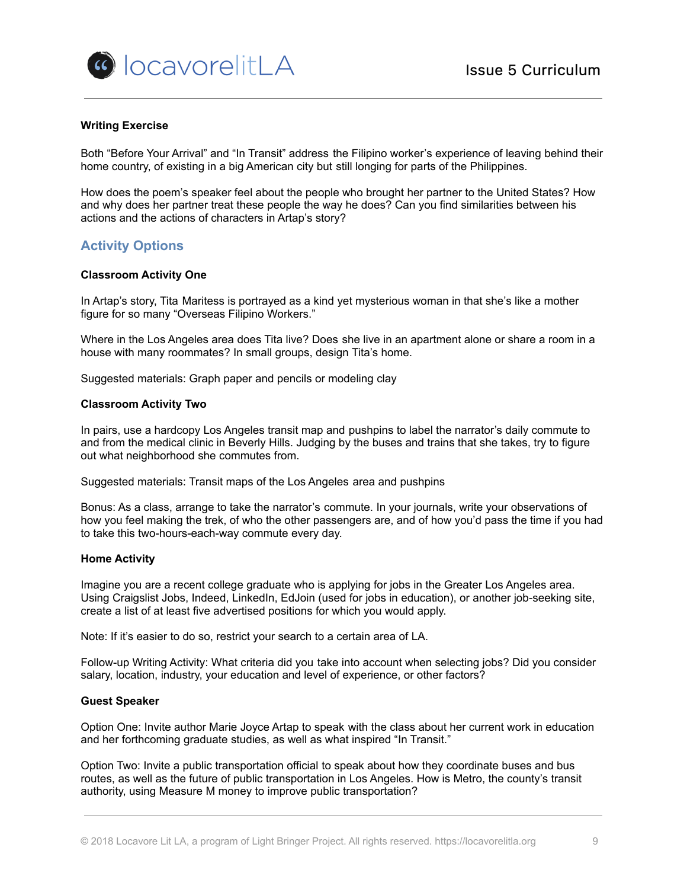

### **Writing Exercise**

Both "Before Your Arrival" and "In Transit" address the Filipino worker's experience of leaving behind their home country, of existing in a big American city but still longing for parts of the Philippines.

How does the poem's speaker feel about the people who brought her partner to the United States? How and why does her partner treat these people the way he does? Can you find similarities between his actions and the actions of characters in Artap's story?

# **Activity Options**

### **Classroom Activity One**

In Artap's story, Tita Maritess is portrayed as a kind yet mysterious woman in that she's like a mother figure for so many "Overseas Filipino Workers."

Where in the Los Angeles area does Tita live? Does she live in an apartment alone or share a room in a house with many roommates? In small groups, design Tita's home.

Suggested materials: Graph paper and pencils or modeling clay

#### **Classroom Activity Two**

In pairs, use a hardcopy Los Angeles transit map and pushpins to label the narrator's daily commute to and from the medical clinic in Beverly Hills. Judging by the buses and trains that she takes, try to figure out what neighborhood she commutes from.

Suggested materials: Transit maps of the Los Angeles area and pushpins

Bonus: As a class, arrange to take the narrator's commute. In your journals, write your observations of how you feel making the trek, of who the other passengers are, and of how you'd pass the time if you had to take this two-hours-each-way commute every day.

#### **Home Activity**

Imagine you are a recent college graduate who is applying for jobs in the Greater Los Angeles area. Using Craigslist Jobs, Indeed, LinkedIn, EdJoin (used for jobs in education), or another job-seeking site, create a list of at least five advertised positions for which you would apply.

Note: If it's easier to do so, restrict your search to a certain area of LA.

Follow-up Writing Activity: What criteria did you take into account when selecting jobs? Did you consider salary, location, industry, your education and level of experience, or other factors?

### **Guest Speaker**

Option One: Invite author Marie Joyce Artap to speak with the class about her current work in education and her forthcoming graduate studies, as well as what inspired "In Transit."

Option Two: Invite a public transportation official to speak about how they coordinate buses and bus routes, as well as the future of public transportation in Los Angeles. How is Metro, the county's transit authority, using Measure M money to improve public transportation?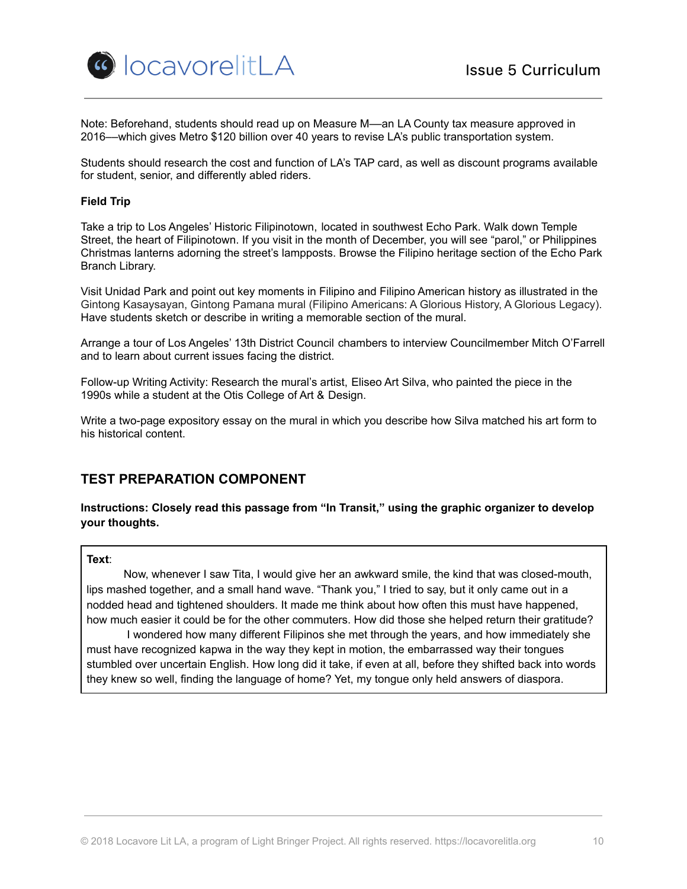

Note: Beforehand, students should read up on Measure M––an LA County tax measure approved in 2016––which gives Metro \$120 billion over 40 years to revise LA's public transportation system.

Students should research the cost and function of LA's TAP card, as well as discount programs available for student, senior, and differently abled riders.

### **Field Trip**

Take a trip to Los Angeles' Historic Filipinotown, located in southwest Echo Park. Walk down Temple Street, the heart of Filipinotown. If you visit in the month of December, you will see "parol," or Philippines Christmas lanterns adorning the street's lampposts. Browse the Filipino heritage section of the Echo Park Branch Library.

Visit Unidad Park and point out key moments in Filipino and Filipino American history as illustrated in the Gintong Kasaysayan, Gintong Pamana mural (Filipino Americans: A Glorious History, A Glorious Legacy). Have students sketch or describe in writing a memorable section of the mural.

Arrange a tour of Los Angeles' 13th District Council chambers to interview Councilmember Mitch O'Farrell and to learn about current issues facing the district.

Follow-up Writing Activity: Research the mural's artist, Eliseo Art Silva, who painted the piece in the 1990s while a student at the Otis College of Art & Design.

Write a two-page expository essay on the mural in which you describe how Silva matched his art form to his historical content.

# **TEST PREPARATION COMPONENT**

**Instructions: Closely read this passage from "In Transit," using the graphic organizer to develop your thoughts.**

### **Text**:

Now, whenever I saw Tita, I would give her an awkward smile, the kind that was closed-mouth, lips mashed together, and a small hand wave. "Thank you," I tried to say, but it only came out in a nodded head and tightened shoulders. It made me think about how often this must have happened, how much easier it could be for the other commuters. How did those she helped return their gratitude? I wondered how many different Filipinos she met through the years, and how immediately she must have recognized kapwa in the way they kept in motion, the embarrassed way their tongues

stumbled over uncertain English. How long did it take, if even at all, before they shifted back into words they knew so well, finding the language of home? Yet, my tongue only held answers of diaspora.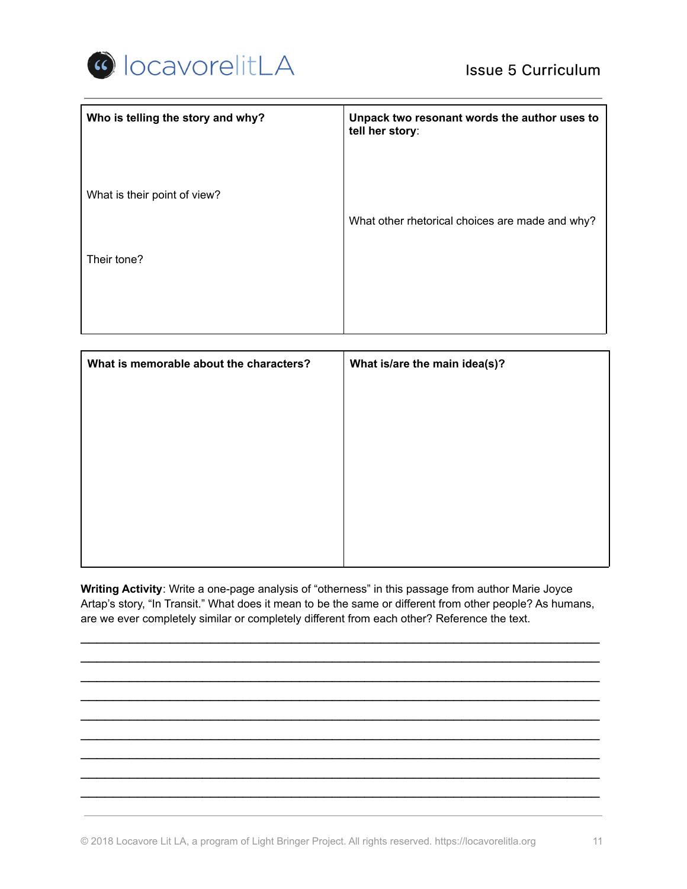

| Who is telling the story and why? | Unpack two resonant words the author uses to<br>tell her story: |
|-----------------------------------|-----------------------------------------------------------------|
| What is their point of view?      | What other rhetorical choices are made and why?                 |
| Their tone?                       |                                                                 |

| What is memorable about the characters? | What is/are the main idea(s)? |
|-----------------------------------------|-------------------------------|
|                                         |                               |
|                                         |                               |
|                                         |                               |
|                                         |                               |
|                                         |                               |
|                                         |                               |
|                                         |                               |
|                                         |                               |

**Writing Activity**: Write a one-page analysis of "otherness" in this passage from author Marie Joyce Artap's story, "In Transit." What does it mean to be the same or different from other people? As humans, are we ever completely similar or completely different from each other? Reference the text.

\_\_\_\_\_\_\_\_\_\_\_\_\_\_\_\_\_\_\_\_\_\_\_\_\_\_\_\_\_\_\_\_\_\_\_\_\_\_\_\_\_\_\_\_\_\_\_\_\_\_\_\_\_\_\_\_\_\_\_\_\_\_\_\_ \_\_\_\_\_\_\_\_\_\_\_\_\_\_\_\_\_\_\_\_\_\_\_\_\_\_\_\_\_\_\_\_\_\_\_\_\_\_\_\_\_\_\_\_\_\_\_\_\_\_\_\_\_\_\_\_\_\_\_\_\_\_\_\_ \_\_\_\_\_\_\_\_\_\_\_\_\_\_\_\_\_\_\_\_\_\_\_\_\_\_\_\_\_\_\_\_\_\_\_\_\_\_\_\_\_\_\_\_\_\_\_\_\_\_\_\_\_\_\_\_\_\_\_\_\_\_\_\_ \_\_\_\_\_\_\_\_\_\_\_\_\_\_\_\_\_\_\_\_\_\_\_\_\_\_\_\_\_\_\_\_\_\_\_\_\_\_\_\_\_\_\_\_\_\_\_\_\_\_\_\_\_\_\_\_\_\_\_\_\_\_\_\_ \_\_\_\_\_\_\_\_\_\_\_\_\_\_\_\_\_\_\_\_\_\_\_\_\_\_\_\_\_\_\_\_\_\_\_\_\_\_\_\_\_\_\_\_\_\_\_\_\_\_\_\_\_\_\_\_\_\_\_\_\_\_\_\_ \_\_\_\_\_\_\_\_\_\_\_\_\_\_\_\_\_\_\_\_\_\_\_\_\_\_\_\_\_\_\_\_\_\_\_\_\_\_\_\_\_\_\_\_\_\_\_\_\_\_\_\_\_\_\_\_\_\_\_\_\_\_\_\_ \_\_\_\_\_\_\_\_\_\_\_\_\_\_\_\_\_\_\_\_\_\_\_\_\_\_\_\_\_\_\_\_\_\_\_\_\_\_\_\_\_\_\_\_\_\_\_\_\_\_\_\_\_\_\_\_\_\_\_\_\_\_\_\_ \_\_\_\_\_\_\_\_\_\_\_\_\_\_\_\_\_\_\_\_\_\_\_\_\_\_\_\_\_\_\_\_\_\_\_\_\_\_\_\_\_\_\_\_\_\_\_\_\_\_\_\_\_\_\_\_\_\_\_\_\_\_\_\_ \_\_\_\_\_\_\_\_\_\_\_\_\_\_\_\_\_\_\_\_\_\_\_\_\_\_\_\_\_\_\_\_\_\_\_\_\_\_\_\_\_\_\_\_\_\_\_\_\_\_\_\_\_\_\_\_\_\_\_\_\_\_\_\_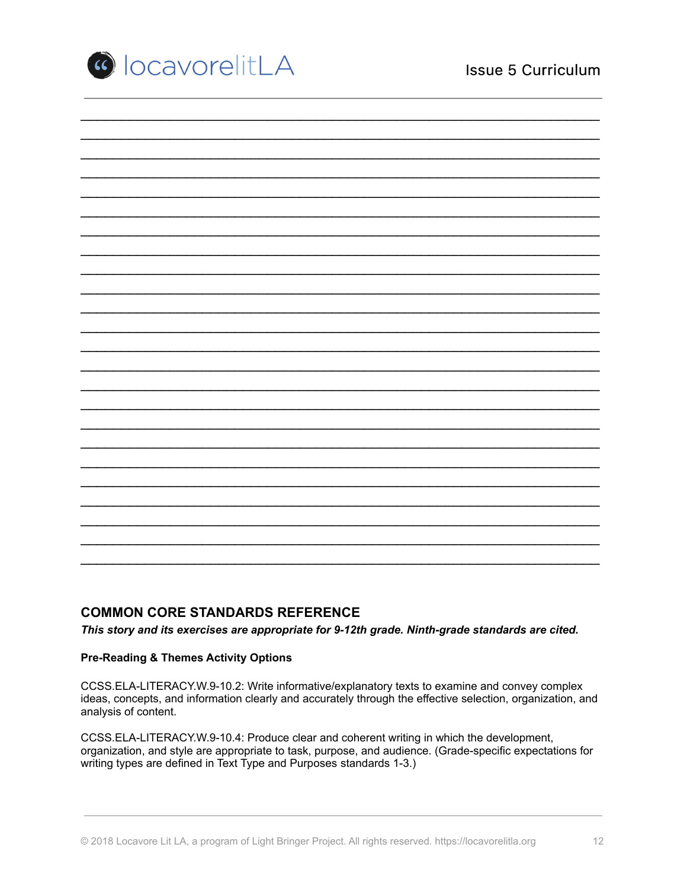

# **COMMON CORE STANDARDS REFERENCE**

This story and its exercises are appropriate for 9-12th grade. Ninth-grade standards are cited.

# **Pre-Reading & Themes Activity Options**

CCSS.ELA-LITERACY.W.9-10.2: Write informative/explanatory texts to examine and convey complex ideas, concepts, and information clearly and accurately through the effective selection, organization, and analysis of content.

CCSS.ELA-LITERACY.W.9-10.4: Produce clear and coherent writing in which the development, organization, and style are appropriate to task, purpose, and audience. (Grade-specific expectations for writing types are defined in Text Type and Purposes standards 1-3.)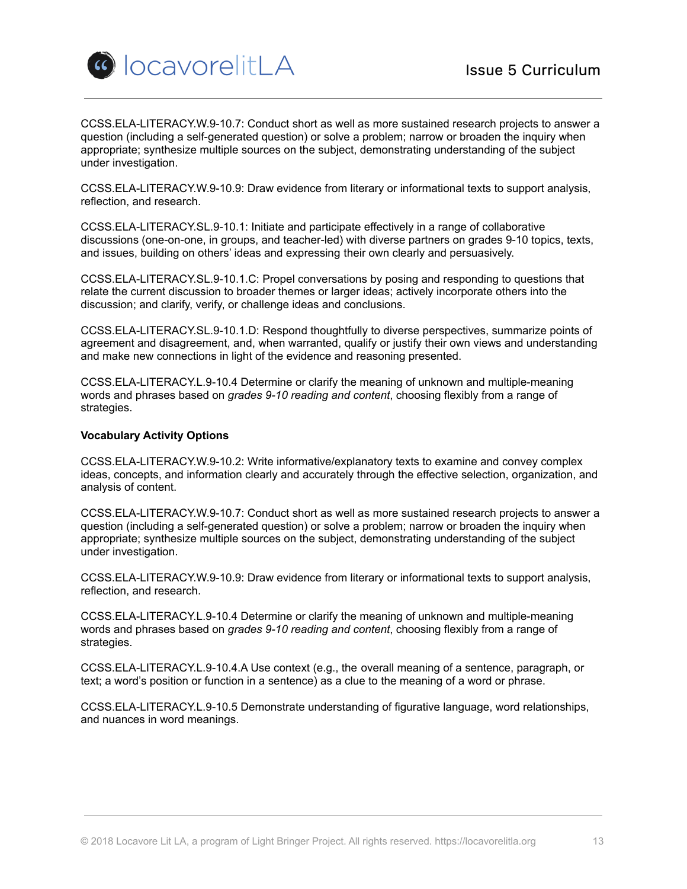

[CCSS.ELA-LITERACY.W.9-10.7](http://www.corestandards.org/ELA-Literacy/W/9-10/7/): Conduct short as well as more sustained research projects to answer a question (including a self-generated question) or solve a problem; narrow or broaden the inquiry when appropriate; synthesize multiple sources on the subject, demonstrating understanding of the subject under investigation.

[CCSS.ELA-LITERACY.W.9-10.9](http://www.corestandards.org/ELA-Literacy/W/9-10/9/): Draw evidence from literary or informational texts to support analysis, reflection, and research.

CCSS.ELA-LITERACY.SL.9-10.1: Initiate and participate effectively in a range of collaborative discussions (one-on-one, in groups, and teacher-led) with diverse partners on grades 9-10 topics, texts, and issues, building on others' ideas and expressing their own clearly and persuasively.

CCSS.ELA-LITERACY.SL.9-10.1.C: Propel conversations by posing and responding to questions that relate the current discussion to broader themes or larger ideas; actively incorporate others into the discussion; and clarify, verify, or challenge ideas and conclusions.

CCSS.ELA-LITERACY.SL.9-10.1.D: Respond thoughtfully to diverse perspectives, summarize points of agreement and disagreement, and, when warranted, qualify or justify their own views and understanding and make new connections in light of the evidence and reasoning presented.

CCSS.ELA-LITERACY.L.9-10.4 Determine or clarify the meaning of unknown and multiple-meaning words and phrases based on *grades 9-10 reading and content*, choosing flexibly from a range of strategies.

### **Vocabulary Activity Options**

CCSS.ELA-LITERACY.W.9-10.2: Write informative/explanatory texts to examine and convey complex ideas, concepts, and information clearly and accurately through the effective selection, organization, and analysis of content.

[CCSS.ELA-LITERACY.W.9-10.7](http://www.corestandards.org/ELA-Literacy/W/9-10/7/): Conduct short as well as more sustained research projects to answer a question (including a self-generated question) or solve a problem; narrow or broaden the inquiry when appropriate; synthesize multiple sources on the subject, demonstrating understanding of the subject under investigation.

[CCSS.ELA-LITERACY.W.9-10.9](http://www.corestandards.org/ELA-Literacy/W/9-10/9/): Draw evidence from literary or informational texts to support analysis, reflection, and research.

CCSS.ELA-LITERACY.L.9-10.4 Determine or clarify the meaning of unknown and multiple-meaning words and phrases based on *grades 9-10 reading and content*, choosing flexibly from a range of strategies.

CCSS.ELA-LITERACY.L.9-10.4.A Use context (e.g., the overall meaning of a sentence, paragraph, or text; a word's position or function in a sentence) as a clue to the meaning of a word or phrase.

CCSS.ELA-LITERACY.L.9-10.5 Demonstrate understanding of figurative language, word relationships, and nuances in word meanings.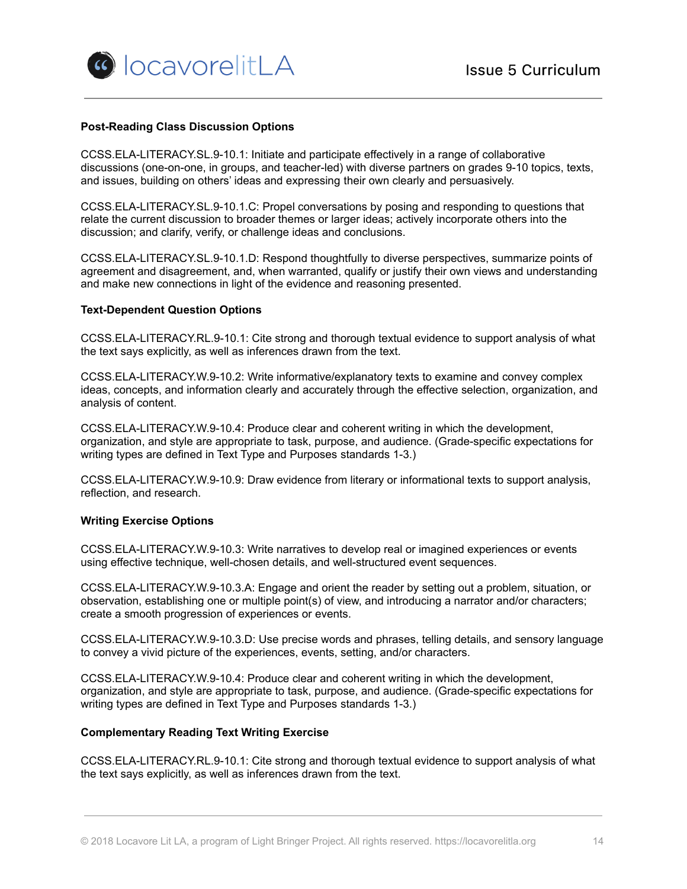

### **Post-Reading Class Discussion Options**

CCSS.ELA-LITERACY.SL.9-10.1: Initiate and participate effectively in a range of collaborative discussions (one-on-one, in groups, and teacher-led) with diverse partners on grades 9-10 topics, texts, and issues, building on others' ideas and expressing their own clearly and persuasively.

CCSS.ELA-LITERACY.SL.9-10.1.C: Propel conversations by posing and responding to questions that relate the current discussion to broader themes or larger ideas; actively incorporate others into the discussion; and clarify, verify, or challenge ideas and conclusions.

CCSS.ELA-LITERACY.SL.9-10.1.D: Respond thoughtfully to diverse perspectives, summarize points of agreement and disagreement, and, when warranted, qualify or justify their own views and understanding and make new connections in light of the evidence and reasoning presented.

#### **Text-Dependent Question Options**

CCSS.ELA-LITERACY.RL.9-10.1: Cite strong and thorough textual evidence to support analysis of what the text says explicitly, as well as inferences drawn from the text.

CCSS.ELA-LITERACY.W.9-10.2: Write informative/explanatory texts to examine and convey complex ideas, concepts, and information clearly and accurately through the effective selection, organization, and analysis of content.

CCSS.ELA-LITERACY.W.9-10.4: Produce clear and coherent writing in which the development, organization, and style are appropriate to task, purpose, and audience. (Grade-specific expectations for writing types are defined in Text Type and Purposes standards 1-3.)

[CCSS.ELA-LITERACY.W.9-10.9](http://www.corestandards.org/ELA-Literacy/W/9-10/9/): Draw evidence from literary or informational texts to support analysis, reflection, and research.

#### **Writing Exercise Options**

CCSS.ELA-LITERACY.W.9-10.3: Write narratives to develop real or imagined experiences or events using effective technique, well-chosen details, and well-structured event sequences.

CCSS.ELA-LITERACY.W.9-10.3.A: Engage and orient the reader by setting out a problem, situation, or observation, establishing one or multiple point(s) of view, and introducing a narrator and/or characters; create a smooth progression of experiences or events.

CCSS.ELA-LITERACY.W.9-10.3.D: Use precise words and phrases, telling details, and sensory language to convey a vivid picture of the experiences, events, setting, and/or characters.

CCSS.ELA-LITERACY.W.9-10.4: Produce clear and coherent writing in which the development, organization, and style are appropriate to task, purpose, and audience. (Grade-specific expectations for writing types are defined in Text Type and Purposes standards 1-3.)

#### **Complementary Reading Text Writing Exercise**

CCSS.ELA-LITERACY.RL.9-10.1: Cite strong and thorough textual evidence to support analysis of what the text says explicitly, as well as inferences drawn from the text.